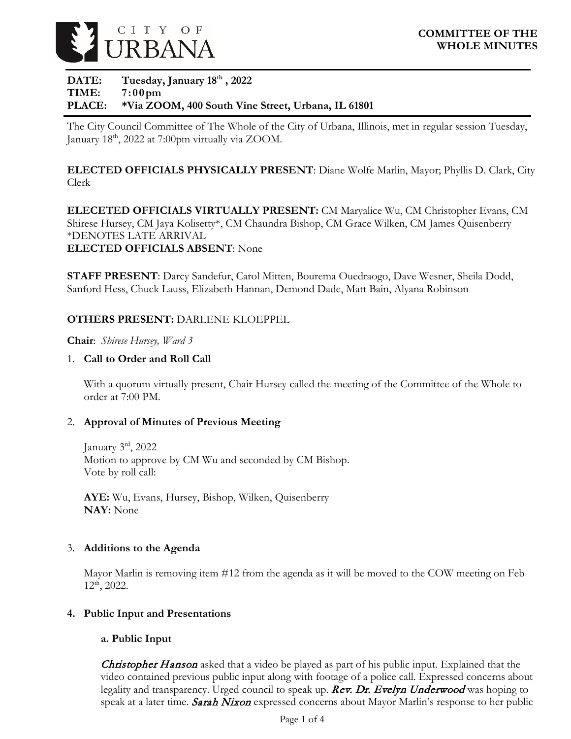

## DATE: Tuesday, January 18<sup>th</sup>, 2022 **TIME: 7:00pm PLACE: \*Via ZOOM, 400 South Vine Street, Urbana, IL 61801**

The City Council Committee of The Whole of the City of Urbana, Illinois, met in regular session Tuesday, January 18<sup>th</sup>, 2022 at 7:00pm virtually via ZOOM.

**ELECTED OFFICIALS PHYSICALLY PRESENT**: Diane Wolfe Marlin, Mayor; Phyllis D. Clark, City Clerk

**ELECETED OFFICIALS VIRTUALLY PRESENT:** CM Maryalice Wu, CM Christopher Evans, CM Shirese Hursey, CM Jaya Kolisetty\*, CM Chaundra Bishop, CM Grace Wilken, CM James Quisenberry \*DENOTES LATE ARRIVAL **ELECTED OFFICIALS ABSENT**: None

**STAFF PRESENT**: Darcy Sandefur, Carol Mitten, Bourema Ouedraogo, Dave Wesner, Sheila Dodd, Sanford Hess, Chuck Lauss, Elizabeth Hannan, Demond Dade, Matt Bain, Alyana Robinson

## **OTHERS PRESENT:** DARLENE KLOEPPEL

**Chair**: *Shirese Hursey, Ward 3*

## 1. **Call to Order and Roll Call**

With a quorum virtually present, Chair Hursey called the meeting of the Committee of the Whole to order at 7:00 PM.

### 2. **Approval of Minutes of Previous Meeting**

January  $3<sup>rd</sup>$ , 2022 Motion to approve by CM Wu and seconded by CM Bishop. Vote by roll call:

**AYE:** Wu, Evans, Hursey, Bishop, Wilken, Quisenberry **NAY:** None

### 3. **Additions to the Agenda**

Mayor Marlin is removing item #12 from the agenda as it will be moved to the COW meeting on Feb 12th, 2022.

### **4. Public Input and Presentations**

# **a. Public Input**

**Christopher Hanson** asked that a video be played as part of his public input. Explained that the video contained previous public input along with footage of a police call. Expressed concerns about legality and transparency. Urged council to speak up. Rev. Dr. Evelyn Underwood was hoping to speak at a later time. Sarah Nixon expressed concerns about Mayor Marlin's response to her public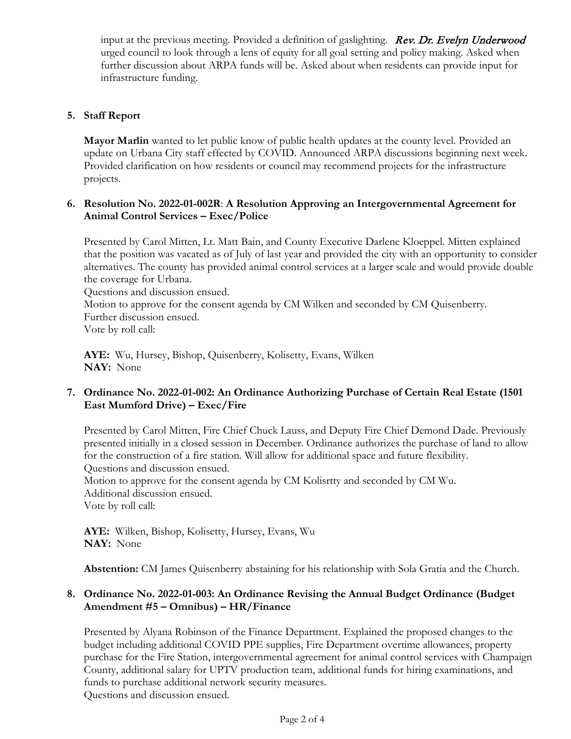input at the previous meeting. Provided a definition of gaslighting. **Rev. Dr. Evelyn Underwood** urged council to look through a lens of equity for all goal setting and policy making. Asked when further discussion about ARPA funds will be. Asked about when residents can provide input for infrastructure funding.

## **5. Staff Report**

**Mayor Marlin** wanted to let public know of public health updates at the county level. Provided an update on Urbana City staff effected by COVID. Announced ARPA discussions beginning next week. Provided clarification on how residents or council may recommend projects for the infrastructure projects.

### **6. Resolution No. 2022-01-002R**: **A Resolution Approving an Intergovernmental Agreement for Animal Control Services – Exec/Police**

Presented by Carol Mitten, Lt. Matt Bain, and County Executive Darlene Kloeppel. Mitten explained that the position was vacated as of July of last year and provided the city with an opportunity to consider alternatives. The county has provided animal control services at a larger scale and would provide double the coverage for Urbana. Questions and discussion ensued.

Motion to approve for the consent agenda by CM Wilken and seconded by CM Quisenberry. Further discussion ensued. Vote by roll call:

**AYE:** Wu, Hursey, Bishop, Quisenberry, Kolisetty, Evans, Wilken **NAY:** None

# **7. Ordinance No. 2022-01-002: An Ordinance Authorizing Purchase of Certain Real Estate (1501 East Mumford Drive) – Exec/Fire**

Presented by Carol Mitten, Fire Chief Chuck Lauss, and Deputy Fire Chief Demond Dade. Previously presented initially in a closed session in December. Ordinance authorizes the purchase of land to allow for the construction of a fire station. Will allow for additional space and future flexibility. Questions and discussion ensued. Motion to approve for the consent agenda by CM Kolisrtty and seconded by CM Wu.

Additional discussion ensued. Vote by roll call:

**AYE:** Wilken, Bishop, Kolisetty, Hursey, Evans, Wu **NAY:** None

**Abstention:** CM James Quisenberry abstaining for his relationship with Sola Gratia and the Church.

## **8. Ordinance No. 2022-01-003: An Ordinance Revising the Annual Budget Ordinance (Budget Amendment #5 – Omnibus) – HR/Finance**

Presented by Alyana Robinson of the Finance Department. Explained the proposed changes to the budget including additional COVID PPE supplies, Fire Department overtime allowances, property purchase for the Fire Station, intergovernmental agreement for animal control services with Champaign County, additional salary for UPTV production team, additional funds for hiring examinations, and funds to purchase additional network security measures. Questions and discussion ensued.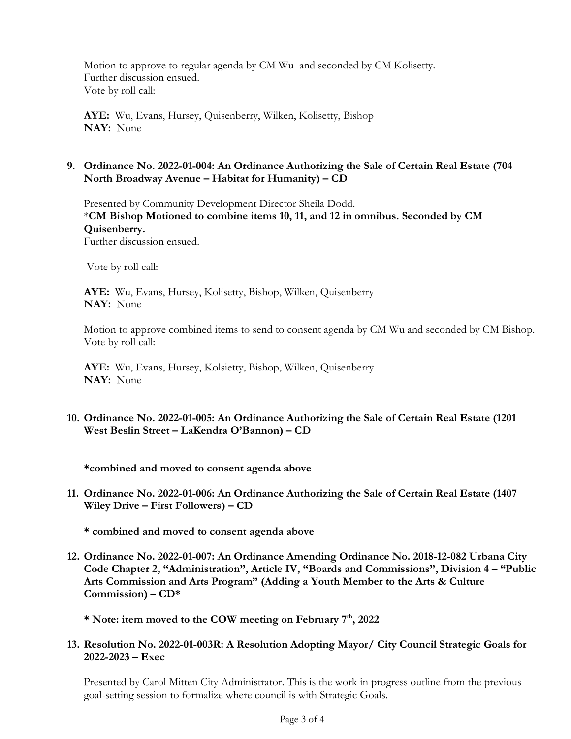Motion to approve to regular agenda by CM Wu and seconded by CM Kolisetty. Further discussion ensued. Vote by roll call:

**AYE:** Wu, Evans, Hursey, Quisenberry, Wilken, Kolisetty, Bishop **NAY:** None

## **9. Ordinance No. 2022-01-004: An Ordinance Authorizing the Sale of Certain Real Estate (704 North Broadway Avenue – Habitat for Humanity) – CD**

Presented by Community Development Director Sheila Dodd. \***CM Bishop Motioned to combine items 10, 11, and 12 in omnibus. Seconded by CM Quisenberry.** Further discussion ensued.

Vote by roll call:

**AYE:** Wu, Evans, Hursey, Kolisetty, Bishop, Wilken, Quisenberry **NAY:** None

Motion to approve combined items to send to consent agenda by CM Wu and seconded by CM Bishop. Vote by roll call:

**AYE:** Wu, Evans, Hursey, Kolsietty, Bishop, Wilken, Quisenberry **NAY:** None

## **10. Ordinance No. 2022-01-005: An Ordinance Authorizing the Sale of Certain Real Estate (1201 West Beslin Street – LaKendra O'Bannon) – CD**

**\*combined and moved to consent agenda above**

**11. Ordinance No. 2022-01-006: An Ordinance Authorizing the Sale of Certain Real Estate (1407 Wiley Drive – First Followers) – CD**

**\* combined and moved to consent agenda above**

**12. Ordinance No. 2022-01-007: An Ordinance Amending Ordinance No. 2018-12-082 Urbana City Code Chapter 2, "Administration", Article IV, "Boards and Commissions", Division 4 – "Public Arts Commission and Arts Program" (Adding a Youth Member to the Arts & Culture Commission) – CD\***

**\* Note: item moved to the COW meeting on February 7th, 2022**

**13. Resolution No. 2022-01-003R: A Resolution Adopting Mayor/ City Council Strategic Goals for 2022-2023 – Exec**

Presented by Carol Mitten City Administrator. This is the work in progress outline from the previous goal-setting session to formalize where council is with Strategic Goals.